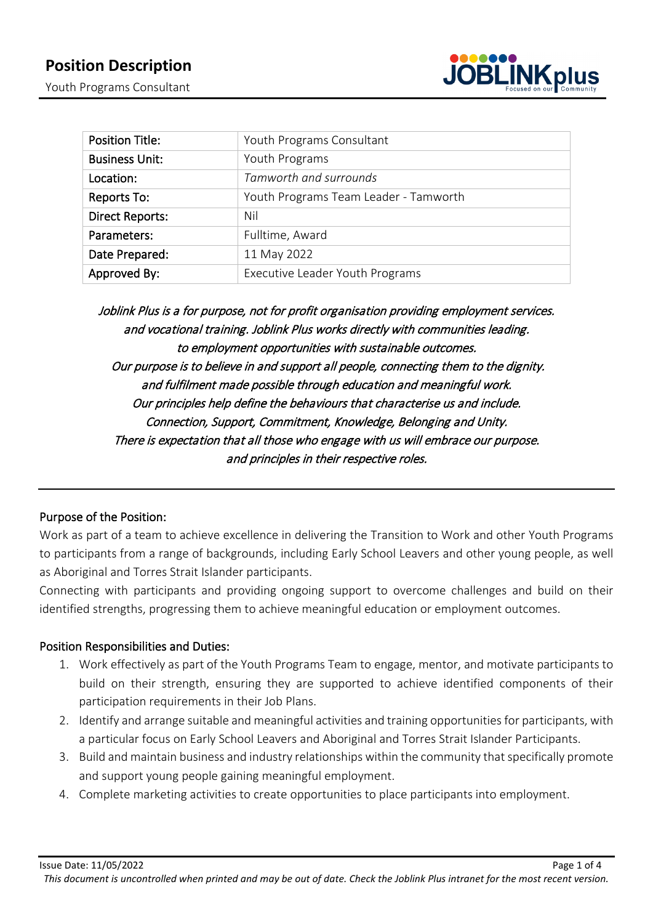

| <b>Position Title:</b> | Youth Programs Consultant             |  |
|------------------------|---------------------------------------|--|
| <b>Business Unit:</b>  | Youth Programs                        |  |
| Location:              | Tamworth and surrounds                |  |
| Reports To:            | Youth Programs Team Leader - Tamworth |  |
| <b>Direct Reports:</b> | Nil                                   |  |
| Parameters:            | Fulltime, Award                       |  |
| Date Prepared:         | 11 May 2022                           |  |
| Approved By:           | Executive Leader Youth Programs       |  |

Joblink Plus is a for purpose, not for profit organisation providing employment services. and vocational training. Joblink Plus works directly with communities leading. to employment opportunities with sustainable outcomes. Our purpose is to believe in and support all people, connecting them to the dignity. and fulfilment made possible through education and meaningful work. Our principles help define the behaviours that characterise us and include. Connection, Support, Commitment, Knowledge, Belonging and Unity. There is expectation that all those who engage with us will embrace our purpose. and principles in their respective roles.

# Purpose of the Position:

Work as part of a team to achieve excellence in delivering the Transition to Work and other Youth Programs to participants from a range of backgrounds, including Early School Leavers and other young people, as well as Aboriginal and Torres Strait Islander participants.

Connecting with participants and providing ongoing support to overcome challenges and build on their identified strengths, progressing them to achieve meaningful education or employment outcomes.

### Position Responsibilities and Duties:

- 1. Work effectively as part of the Youth Programs Team to engage, mentor, and motivate participants to build on their strength, ensuring they are supported to achieve identified components of their participation requirements in their Job Plans.
- 2. Identify and arrange suitable and meaningful activities and training opportunities for participants, with a particular focus on Early School Leavers and Aboriginal and Torres Strait Islander Participants.
- 3. Build and maintain business and industry relationships within the community that specifically promote and support young people gaining meaningful employment.
- 4. Complete marketing activities to create opportunities to place participants into employment.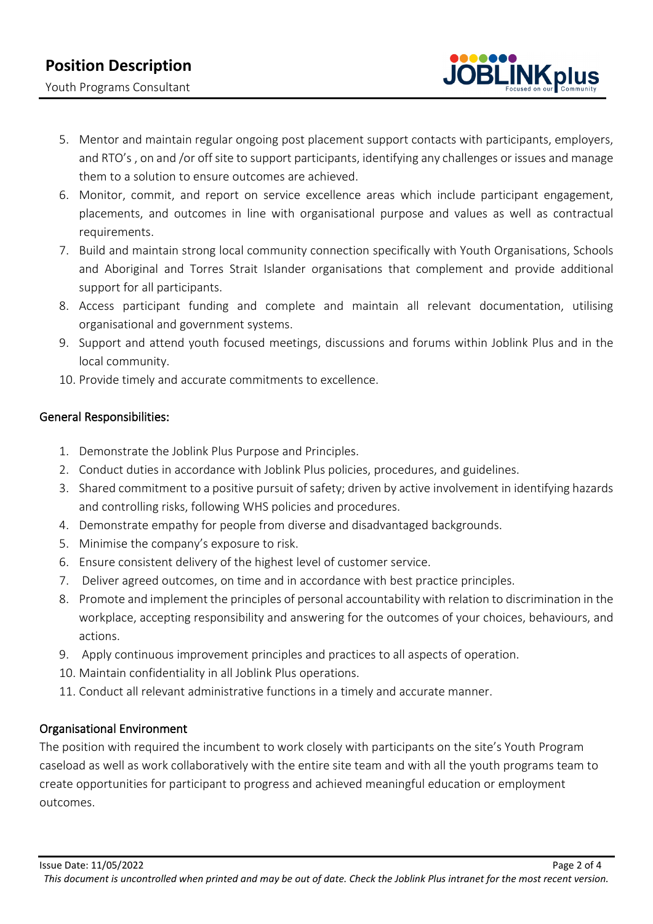Youth Programs Consultant



- 5. Mentor and maintain regular ongoing post placement support contacts with participants, employers, and RTO's , on and /or off site to support participants, identifying any challenges or issues and manage them to a solution to ensure outcomes are achieved.
- 6. Monitor, commit, and report on service excellence areas which include participant engagement, placements, and outcomes in line with organisational purpose and values as well as contractual requirements.
- 7. Build and maintain strong local community connection specifically with Youth Organisations, Schools and Aboriginal and Torres Strait Islander organisations that complement and provide additional support for all participants.
- 8. Access participant funding and complete and maintain all relevant documentation, utilising organisational and government systems.
- 9. Support and attend youth focused meetings, discussions and forums within Joblink Plus and in the local community.
- 10. Provide timely and accurate commitments to excellence.

# General Responsibilities:

- 1. Demonstrate the Joblink Plus Purpose and Principles.
- 2. Conduct duties in accordance with Joblink Plus policies, procedures, and guidelines.
- 3. Shared commitment to a positive pursuit of safety; driven by active involvement in identifying hazards and controlling risks, following WHS policies and procedures.
- 4. Demonstrate empathy for people from diverse and disadvantaged backgrounds.
- 5. Minimise the company's exposure to risk.
- 6. Ensure consistent delivery of the highest level of customer service.
- 7. Deliver agreed outcomes, on time and in accordance with best practice principles.
- 8. Promote and implement the principles of personal accountability with relation to discrimination in the workplace, accepting responsibility and answering for the outcomes of your choices, behaviours, and actions.
- 9. Apply continuous improvement principles and practices to all aspects of operation.
- 10. Maintain confidentiality in all Joblink Plus operations.
- 11. Conduct all relevant administrative functions in a timely and accurate manner.

### Organisational Environment

The position with required the incumbent to work closely with participants on the site's Youth Program caseload as well as work collaboratively with the entire site team and with all the youth programs team to create opportunities for participant to progress and achieved meaningful education or employment outcomes.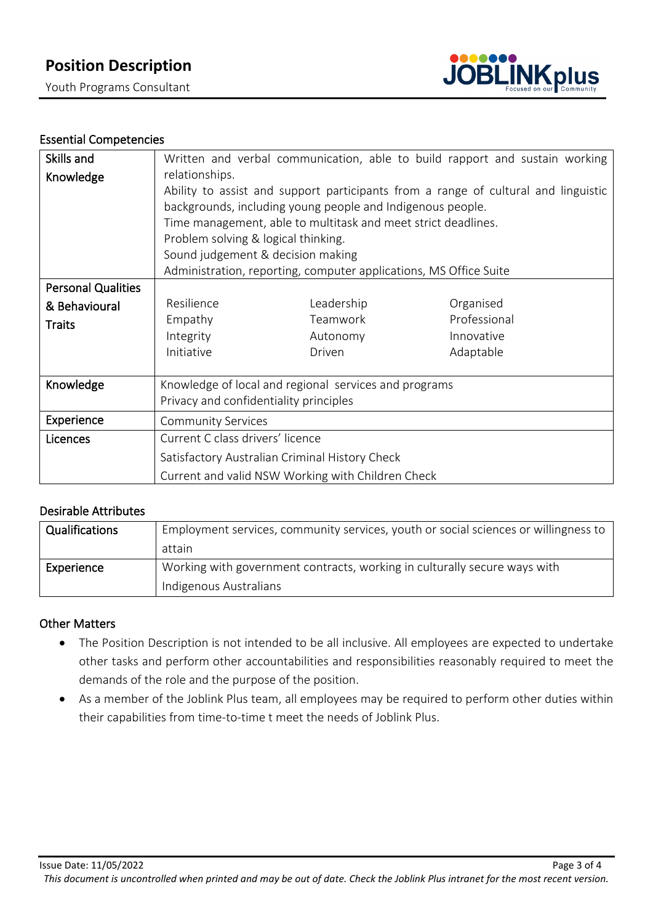Youth Programs Consultant



# Essential Competencies

| Skills and                | Written and verbal communication, able to build rapport and sustain working        |            |              |  |  |
|---------------------------|------------------------------------------------------------------------------------|------------|--------------|--|--|
| Knowledge                 | relationships.                                                                     |            |              |  |  |
|                           | Ability to assist and support participants from a range of cultural and linguistic |            |              |  |  |
|                           | backgrounds, including young people and Indigenous people.                         |            |              |  |  |
|                           | Time management, able to multitask and meet strict deadlines.                      |            |              |  |  |
|                           | Problem solving & logical thinking.                                                |            |              |  |  |
|                           | Sound judgement & decision making                                                  |            |              |  |  |
|                           | Administration, reporting, computer applications, MS Office Suite                  |            |              |  |  |
| <b>Personal Qualities</b> |                                                                                    |            |              |  |  |
| & Behavioural             | Resilience                                                                         | Leadership | Organised    |  |  |
| <b>Traits</b>             | Empathy                                                                            | Teamwork   | Professional |  |  |
|                           | Integrity                                                                          | Autonomy   | Innovative   |  |  |
|                           | Initiative                                                                         | Driven     | Adaptable    |  |  |
|                           |                                                                                    |            |              |  |  |
| Knowledge                 | Knowledge of local and regional services and programs                              |            |              |  |  |
|                           | Privacy and confidentiality principles                                             |            |              |  |  |
| Experience                | <b>Community Services</b>                                                          |            |              |  |  |
| Licences                  | Current C class drivers' licence                                                   |            |              |  |  |
|                           | Satisfactory Australian Criminal History Check                                     |            |              |  |  |
|                           | Current and valid NSW Working with Children Check                                  |            |              |  |  |

# Desirable Attributes

| Qualifications | Employment services, community services, youth or social sciences or willingness to<br>attain       |
|----------------|-----------------------------------------------------------------------------------------------------|
| Experience     | Working with government contracts, working in culturally secure ways with<br>Indigenous Australians |

#### Other Matters

- The Position Description is not intended to be all inclusive. All employees are expected to undertake other tasks and perform other accountabilities and responsibilities reasonably required to meet the demands of the role and the purpose of the position.
- As a member of the Joblink Plus team, all employees may be required to perform other duties within their capabilities from time-to-time t meet the needs of Joblink Plus.